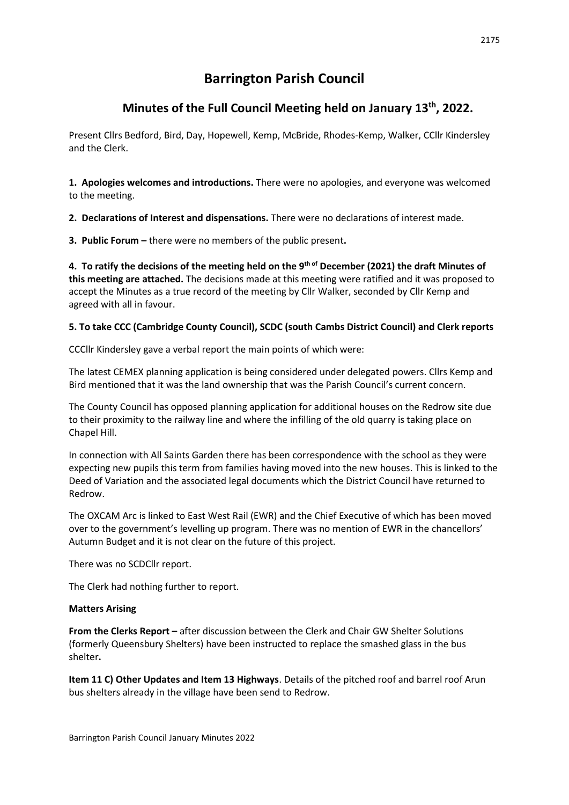# **Barrington Parish Council**

## **Minutes of the Full Council Meeting held on January 13th, 2022.**

Present Cllrs Bedford, Bird, Day, Hopewell, Kemp, McBride, Rhodes-Kemp, Walker, CCllr Kindersley and the Clerk.

**1. Apologies welcomes and introductions.** There were no apologies, and everyone was welcomed to the meeting.

**2. Declarations of Interest and dispensations.** There were no declarations of interest made.

**3. Public Forum –** there were no members of the public present**.**

4. To ratify the decisions of the meeting held on the 9<sup>th of</sup> December (2021) the draft Minutes of **this meeting are attached.** The decisions made at this meeting were ratified and it was proposed to accept the Minutes as a true record of the meeting by Cllr Walker, seconded by Cllr Kemp and agreed with all in favour.

## **5. To take CCC (Cambridge County Council), SCDC (south Cambs District Council) and Clerk reports**

CCCllr Kindersley gave a verbal report the main points of which were:

The latest CEMEX planning application is being considered under delegated powers. Cllrs Kemp and Bird mentioned that it was the land ownership that was the Parish Council's current concern.

The County Council has opposed planning application for additional houses on the Redrow site due to their proximity to the railway line and where the infilling of the old quarry is taking place on Chapel Hill.

In connection with All Saints Garden there has been correspondence with the school as they were expecting new pupils this term from families having moved into the new houses. This is linked to the Deed of Variation and the associated legal documents which the District Council have returned to Redrow.

The OXCAM Arc is linked to East West Rail (EWR) and the Chief Executive of which has been moved over to the government's levelling up program. There was no mention of EWR in the chancellors' Autumn Budget and it is not clear on the future of this project.

There was no SCDCllr report.

The Clerk had nothing further to report.

#### **Matters Arising**

**From the Clerks Report –** after discussion between the Clerk and Chair GW Shelter Solutions (formerly Queensbury Shelters) have been instructed to replace the smashed glass in the bus shelter**.** 

**Item 11 C) Other Updates and Item 13 Highways**. Details of the pitched roof and barrel roof Arun bus shelters already in the village have been send to Redrow.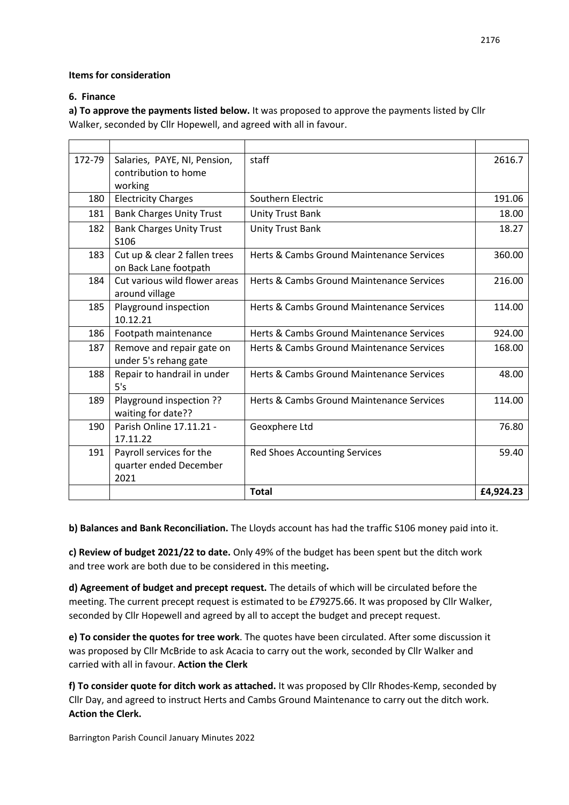## **Items for consideration**

## **6. Finance**

**a) To approve the payments listed below.** It was proposed to approve the payments listed by Cllr Walker, seconded by Cllr Hopewell, and agreed with all in favour.

| 172-79 | Salaries, PAYE, NI, Pension,    | staff                                     | 2616.7    |
|--------|---------------------------------|-------------------------------------------|-----------|
|        | contribution to home            |                                           |           |
|        | working                         |                                           |           |
| 180    | <b>Electricity Charges</b>      | Southern Electric                         | 191.06    |
| 181    | <b>Bank Charges Unity Trust</b> | <b>Unity Trust Bank</b>                   | 18.00     |
| 182    | <b>Bank Charges Unity Trust</b> | <b>Unity Trust Bank</b>                   | 18.27     |
|        | S106                            |                                           |           |
| 183    | Cut up & clear 2 fallen trees   | Herts & Cambs Ground Maintenance Services | 360.00    |
|        | on Back Lane footpath           |                                           |           |
| 184    | Cut various wild flower areas   | Herts & Cambs Ground Maintenance Services | 216.00    |
|        | around village                  |                                           |           |
| 185    | Playground inspection           | Herts & Cambs Ground Maintenance Services | 114.00    |
|        | 10.12.21                        |                                           |           |
| 186    | Footpath maintenance            | Herts & Cambs Ground Maintenance Services | 924.00    |
| 187    | Remove and repair gate on       | Herts & Cambs Ground Maintenance Services | 168.00    |
|        | under 5's rehang gate           |                                           |           |
| 188    | Repair to handrail in under     | Herts & Cambs Ground Maintenance Services | 48.00     |
|        | 5's                             |                                           |           |
| 189    | Playground inspection ??        | Herts & Cambs Ground Maintenance Services | 114.00    |
|        | waiting for date??              |                                           |           |
| 190    | Parish Online 17.11.21 -        | Geoxphere Ltd                             | 76.80     |
|        | 17.11.22                        |                                           |           |
| 191    | Payroll services for the        | <b>Red Shoes Accounting Services</b>      | 59.40     |
|        | quarter ended December          |                                           |           |
|        | 2021                            |                                           |           |
|        |                                 | <b>Total</b>                              | £4,924.23 |

**b) Balances and Bank Reconciliation.** The Lloyds account has had the traffic S106 money paid into it.

**c) Review of budget 2021/22 to date.** Only 49% of the budget has been spent but the ditch work and tree work are both due to be considered in this meeting**.** 

**d) Agreement of budget and precept request.** The details of which will be circulated before the meeting. The current precept request is estimated to be £79275.66. It was proposed by Cllr Walker, seconded by Cllr Hopewell and agreed by all to accept the budget and precept request.

**e) To consider the quotes for tree work**. The quotes have been circulated. After some discussion it was proposed by Cllr McBride to ask Acacia to carry out the work, seconded by Cllr Walker and carried with all in favour. **Action the Clerk**

**f) To consider quote for ditch work as attached.** It was proposed by Cllr Rhodes-Kemp, seconded by Cllr Day, and agreed to instruct Herts and Cambs Ground Maintenance to carry out the ditch work. **Action the Clerk.**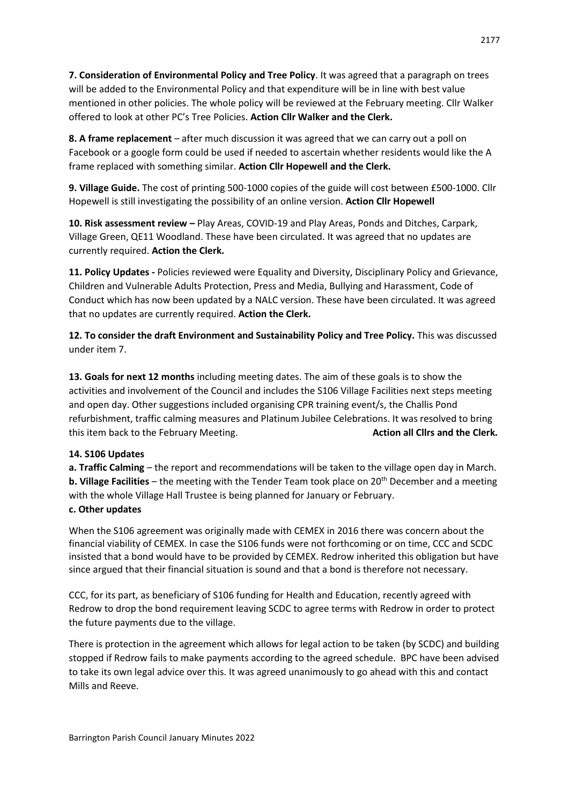**7. Consideration of Environmental Policy and Tree Policy**. It was agreed that a paragraph on trees will be added to the Environmental Policy and that expenditure will be in line with best value mentioned in other policies. The whole policy will be reviewed at the February meeting. Cllr Walker offered to look at other PC's Tree Policies. **Action Cllr Walker and the Clerk.**

**8. A frame replacement** – after much discussion it was agreed that we can carry out a poll on Facebook or a google form could be used if needed to ascertain whether residents would like the A frame replaced with something similar. **Action Cllr Hopewell and the Clerk.**

**9. Village Guide.** The cost of printing 500-1000 copies of the guide will cost between £500-1000. Cllr Hopewell is still investigating the possibility of an online version. **Action Cllr Hopewell**

**10. Risk assessment review –** Play Areas, COVID-19 and Play Areas, Ponds and Ditches, Carpark, Village Green, QE11 Woodland. These have been circulated. It was agreed that no updates are currently required. **Action the Clerk.**

**11. Policy Updates -** Policies reviewed were Equality and Diversity, Disciplinary Policy and Grievance, Children and Vulnerable Adults Protection, Press and Media, Bullying and Harassment, Code of Conduct which has now been updated by a NALC version. These have been circulated. It was agreed that no updates are currently required. **Action the Clerk.**

**12. To consider the draft Environment and Sustainability Policy and Tree Policy.** This was discussed under item 7.

**13. Goals for next 12 months** including meeting dates. The aim of these goals is to show the activities and involvement of the Council and includes the S106 Village Facilities next steps meeting and open day. Other suggestions included organising CPR training event/s, the Challis Pond refurbishment, traffic calming measures and Platinum Jubilee Celebrations. It was resolved to bring this item back to the February Meeting. **Action all Clirs and the Clerk. Action all Clirs and the Clerk. Action** 

#### **14. S106 Updates**

**a. Traffic Calming** – the report and recommendations will be taken to the village open day in March. **b. Village Facilities** – the meeting with the Tender Team took place on 20<sup>th</sup> December and a meeting with the whole Village Hall Trustee is being planned for January or February.

## **c. Other updates**

When the S106 agreement was originally made with CEMEX in 2016 there was concern about the financial viability of CEMEX. In case the S106 funds were not forthcoming or on time, CCC and SCDC insisted that a bond would have to be provided by CEMEX. Redrow inherited this obligation but have since argued that their financial situation is sound and that a bond is therefore not necessary.

CCC, for its part, as beneficiary of S106 funding for Health and Education, recently agreed with Redrow to drop the bond requirement leaving SCDC to agree terms with Redrow in order to protect the future payments due to the village.

There is protection in the agreement which allows for legal action to be taken (by SCDC) and building stopped if Redrow fails to make payments according to the agreed schedule. BPC have been advised to take its own legal advice over this. It was agreed unanimously to go ahead with this and contact Mills and Reeve.